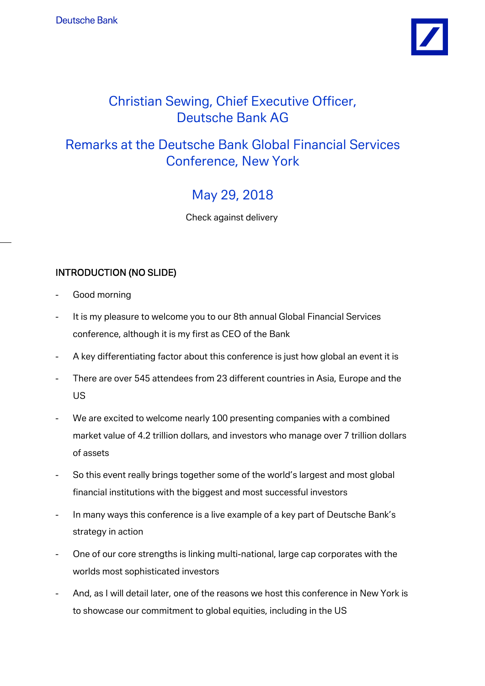

# Christian Sewing, Chief Executive Officer, Deutsche Bank AG

# Remarks at the Deutsche Bank Global Financial Services Conference, New York

# May 29, 2018

Check against delivery

# INTRODUCTION (NO SLIDE)

- Good morning
- It is my pleasure to welcome you to our 8th annual Global Financial Services conference, although it is my first as CEO of the Bank
- A key differentiating factor about this conference is just how global an event it is
- There are over 545 attendees from 23 different countries in Asia, Europe and the US
- We are excited to welcome nearly 100 presenting companies with a combined market value of 4.2 trillion dollars, and investors who manage over 7 trillion dollars of assets
- So this event really brings together some of the world's largest and most global financial institutions with the biggest and most successful investors
- In many ways this conference is a live example of a key part of Deutsche Bank's strategy in action
- One of our core strengths is linking multi-national, large cap corporates with the worlds most sophisticated investors
- And, as I will detail later, one of the reasons we host this conference in New York is to showcase our commitment to global equities, including in the US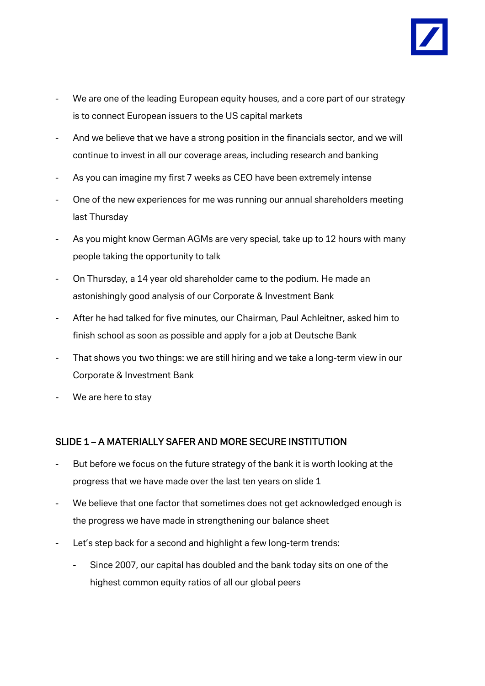

- We are one of the leading European equity houses, and a core part of our strategy is to connect European issuers to the US capital markets
- And we believe that we have a strong position in the financials sector, and we will continue to invest in all our coverage areas, including research and banking
- As you can imagine my first 7 weeks as CEO have been extremely intense
- One of the new experiences for me was running our annual shareholders meeting last Thursday
- As you might know German AGMs are very special, take up to 12 hours with many people taking the opportunity to talk
- On Thursday, a 14 year old shareholder came to the podium. He made an astonishingly good analysis of our Corporate & Investment Bank
- After he had talked for five minutes, our Chairman, Paul Achleitner, asked him to finish school as soon as possible and apply for a job at Deutsche Bank
- That shows you two things: we are still hiring and we take a long-term view in our Corporate & Investment Bank
- We are here to stay

# SLIDE 1 – A MATERIALLY SAFER AND MORE SECURE INSTITUTION

- But before we focus on the future strategy of the bank it is worth looking at the progress that we have made over the last ten years on slide 1
- We believe that one factor that sometimes does not get acknowledged enough is the progress we have made in strengthening our balance sheet
- Let's step back for a second and highlight a few long-term trends:
	- Since 2007, our capital has doubled and the bank today sits on one of the highest common equity ratios of all our global peers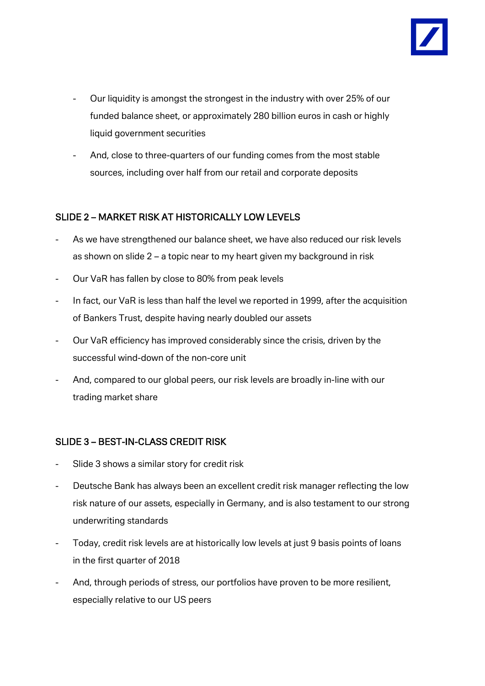

- Our liquidity is amongst the strongest in the industry with over 25% of our funded balance sheet, or approximately 280 billion euros in cash or highly liquid government securities
- And, close to three-quarters of our funding comes from the most stable sources, including over half from our retail and corporate deposits

# SLIDE 2 – MARKET RISK AT HISTORICALLY LOW LEVELS

- As we have strengthened our balance sheet, we have also reduced our risk levels as shown on slide 2 – a topic near to my heart given my background in risk
- Our VaR has fallen by close to 80% from peak levels
- In fact, our VaR is less than half the level we reported in 1999, after the acquisition of Bankers Trust, despite having nearly doubled our assets
- Our VaR efficiency has improved considerably since the crisis, driven by the successful wind-down of the non-core unit
- And, compared to our global peers, our risk levels are broadly in-line with our trading market share

### SLIDE 3 – BEST-IN-CLASS CREDIT RISK

- Slide 3 shows a similar story for credit risk
- Deutsche Bank has always been an excellent credit risk manager reflecting the low risk nature of our assets, especially in Germany, and is also testament to our strong underwriting standards
- Today, credit risk levels are at historically low levels at just 9 basis points of loans in the first quarter of 2018
- And, through periods of stress, our portfolios have proven to be more resilient, especially relative to our US peers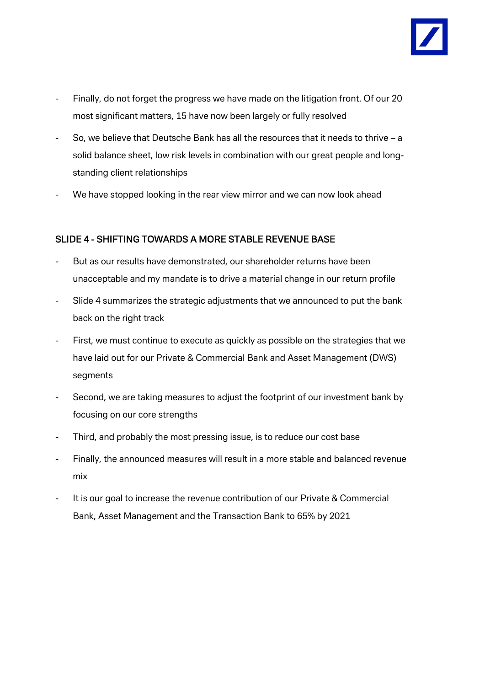

- Finally, do not forget the progress we have made on the litigation front. Of our 20 most significant matters, 15 have now been largely or fully resolved
- So, we believe that Deutsche Bank has all the resources that it needs to thrive a solid balance sheet, low risk levels in combination with our great people and longstanding client relationships
- We have stopped looking in the rear view mirror and we can now look ahead

### SLIDE 4 - SHIFTING TOWARDS A MORE STABLE REVENUE BASE

- But as our results have demonstrated, our shareholder returns have been unacceptable and my mandate is to drive a material change in our return profile
- Slide 4 summarizes the strategic adjustments that we announced to put the bank back on the right track
- First, we must continue to execute as quickly as possible on the strategies that we have laid out for our Private & Commercial Bank and Asset Management (DWS) segments
- Second, we are taking measures to adjust the footprint of our investment bank by focusing on our core strengths
- Third, and probably the most pressing issue, is to reduce our cost base
- Finally, the announced measures will result in a more stable and balanced revenue mix
- It is our goal to increase the revenue contribution of our Private & Commercial Bank, Asset Management and the Transaction Bank to 65% by 2021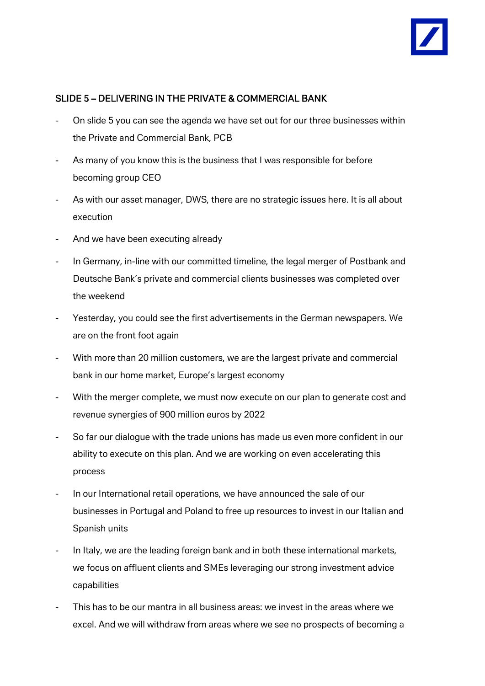

### SLIDE 5 – DELIVERING IN THE PRIVATE & COMMERCIAL BANK

- On slide 5 you can see the agenda we have set out for our three businesses within the Private and Commercial Bank, PCB
- As many of you know this is the business that I was responsible for before becoming group CEO
- As with our asset manager, DWS, there are no strategic issues here. It is all about execution
- And we have been executing already
- In Germany, in-line with our committed timeline, the legal merger of Postbank and Deutsche Bank's private and commercial clients businesses was completed over the weekend
- Yesterday, you could see the first advertisements in the German newspapers. We are on the front foot again
- With more than 20 million customers, we are the largest private and commercial bank in our home market, Europe's largest economy
- With the merger complete, we must now execute on our plan to generate cost and revenue synergies of 900 million euros by 2022
- So far our dialogue with the trade unions has made us even more confident in our ability to execute on this plan. And we are working on even accelerating this process
- In our International retail operations, we have announced the sale of our businesses in Portugal and Poland to free up resources to invest in our Italian and Spanish units
- In Italy, we are the leading foreign bank and in both these international markets, we focus on affluent clients and SMEs leveraging our strong investment advice capabilities
- This has to be our mantra in all business areas: we invest in the areas where we excel. And we will withdraw from areas where we see no prospects of becoming a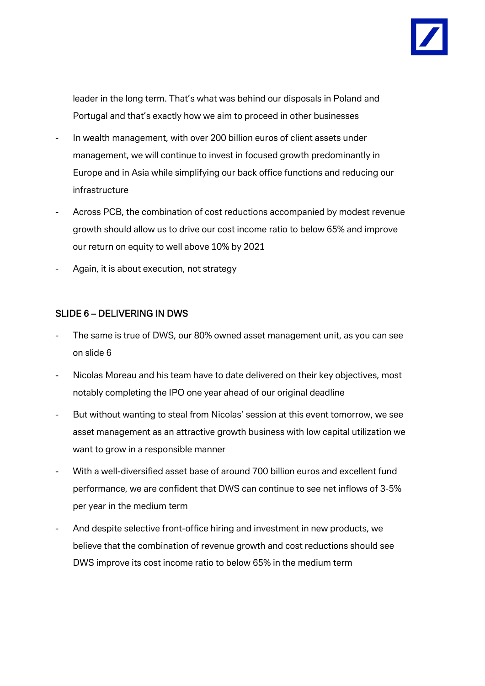

leader in the long term. That's what was behind our disposals in Poland and Portugal and that's exactly how we aim to proceed in other businesses

- In wealth management, with over 200 billion euros of client assets under management, we will continue to invest in focused growth predominantly in Europe and in Asia while simplifying our back office functions and reducing our infrastructure
- Across PCB, the combination of cost reductions accompanied by modest revenue growth should allow us to drive our cost income ratio to below 65% and improve our return on equity to well above 10% by 2021
- Again, it is about execution, not strategy

### SLIDE 6 – DELIVERING IN DWS

- The same is true of DWS, our 80% owned asset management unit, as you can see on slide 6
- Nicolas Moreau and his team have to date delivered on their key objectives, most notably completing the IPO one year ahead of our original deadline
- But without wanting to steal from Nicolas' session at this event tomorrow, we see asset management as an attractive growth business with low capital utilization we want to grow in a responsible manner
- With a well-diversified asset base of around 700 billion euros and excellent fund performance, we are confident that DWS can continue to see net inflows of 3-5% per year in the medium term
- And despite selective front-office hiring and investment in new products, we believe that the combination of revenue growth and cost reductions should see DWS improve its cost income ratio to below 65% in the medium term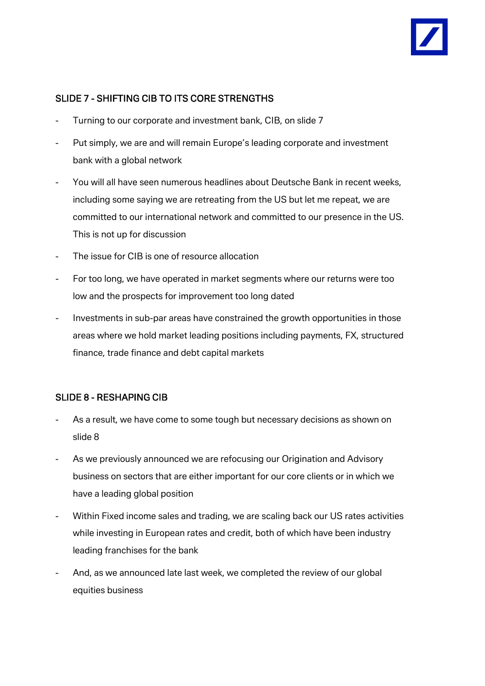### SLIDE 7 - SHIFTING CIB TO ITS CORE STRENGTHS

- Turning to our corporate and investment bank, CIB, on slide 7
- Put simply, we are and will remain Europe's leading corporate and investment bank with a global network
- You will all have seen numerous headlines about Deutsche Bank in recent weeks, including some saying we are retreating from the US but let me repeat, we are committed to our international network and committed to our presence in the US. This is not up for discussion
- The issue for CIB is one of resource allocation
- For too long, we have operated in market segments where our returns were too low and the prospects for improvement too long dated
- Investments in sub-par areas have constrained the growth opportunities in those areas where we hold market leading positions including payments, FX, structured finance, trade finance and debt capital markets

# SLIDE 8 - RESHAPING CIB

- As a result, we have come to some tough but necessary decisions as shown on slide 8
- As we previously announced we are refocusing our Origination and Advisory business on sectors that are either important for our core clients or in which we have a leading global position
- Within Fixed income sales and trading, we are scaling back our US rates activities while investing in European rates and credit, both of which have been industry leading franchises for the bank
- And, as we announced late last week, we completed the review of our global equities business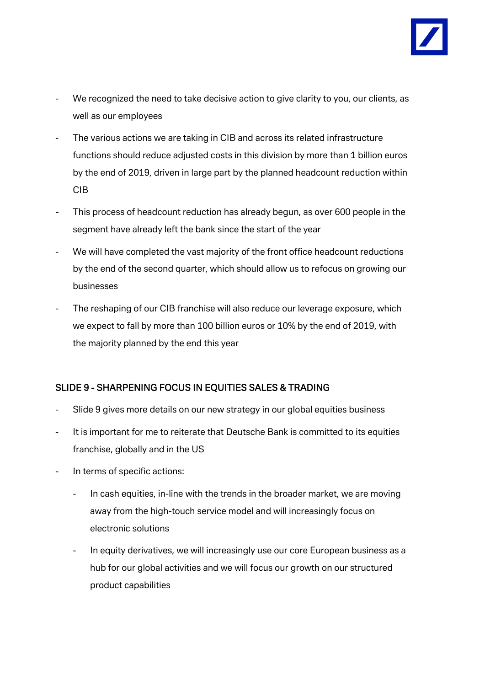

- We recognized the need to take decisive action to give clarity to you, our clients, as well as our employees
- The various actions we are taking in CIB and across its related infrastructure functions should reduce adjusted costs in this division by more than 1 billion euros by the end of 2019, driven in large part by the planned headcount reduction within CIB
- This process of headcount reduction has already begun, as over 600 people in the segment have already left the bank since the start of the year
- We will have completed the vast majority of the front office headcount reductions by the end of the second quarter, which should allow us to refocus on growing our businesses
- The reshaping of our CIB franchise will also reduce our leverage exposure, which we expect to fall by more than 100 billion euros or 10% by the end of 2019, with the majority planned by the end this year

# SLIDE 9 - SHARPENING FOCUS IN EQUITIES SALES & TRADING

- Slide 9 gives more details on our new strategy in our global equities business
- It is important for me to reiterate that Deutsche Bank is committed to its equities franchise, globally and in the US
- In terms of specific actions:
	- In cash equities, in-line with the trends in the broader market, we are moving away from the high-touch service model and will increasingly focus on electronic solutions
	- In equity derivatives, we will increasingly use our core European business as a hub for our global activities and we will focus our growth on our structured product capabilities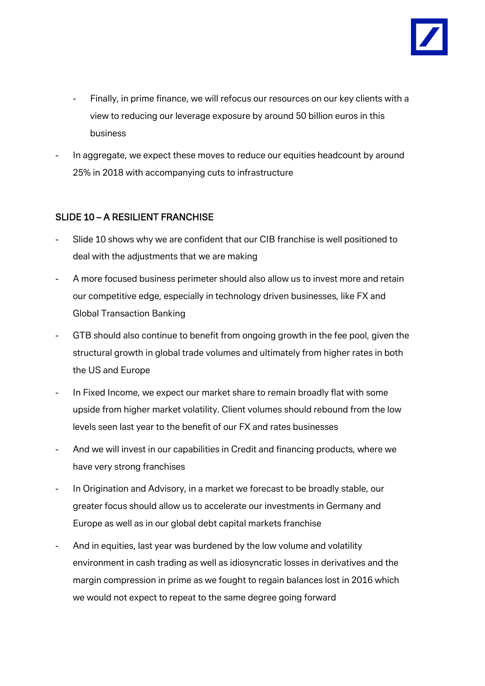

- Finally, in prime finance, we will refocus our resources on our key clients with a view to reducing our leverage exposure by around 50 billion euros in this business
- In aggregate, we expect these moves to reduce our equities headcount by around 25% in 2018 with accompanying cuts to infrastructure

### SLIDE 10 – A RESILIENT FRANCHISE

- Slide 10 shows why we are confident that our CIB franchise is well positioned to deal with the adjustments that we are making
- A more focused business perimeter should also allow us to invest more and retain our competitive edge, especially in technology driven businesses, like FX and Global Transaction Banking
- GTB should also continue to benefit from ongoing growth in the fee pool, given the structural growth in global trade volumes and ultimately from higher rates in both the US and Europe
- In Fixed Income, we expect our market share to remain broadly flat with some upside from higher market volatility. Client volumes should rebound from the low levels seen last year to the benefit of our FX and rates businesses
- And we will invest in our capabilities in Credit and financing products, where we have very strong franchises
- In Origination and Advisory, in a market we forecast to be broadly stable, our greater focus should allow us to accelerate our investments in Germany and Europe as well as in our global debt capital markets franchise
- And in equities, last year was burdened by the low volume and volatility environment in cash trading as well as idiosyncratic losses in derivatives and the margin compression in prime as we fought to regain balances lost in 2016 which we would not expect to repeat to the same degree going forward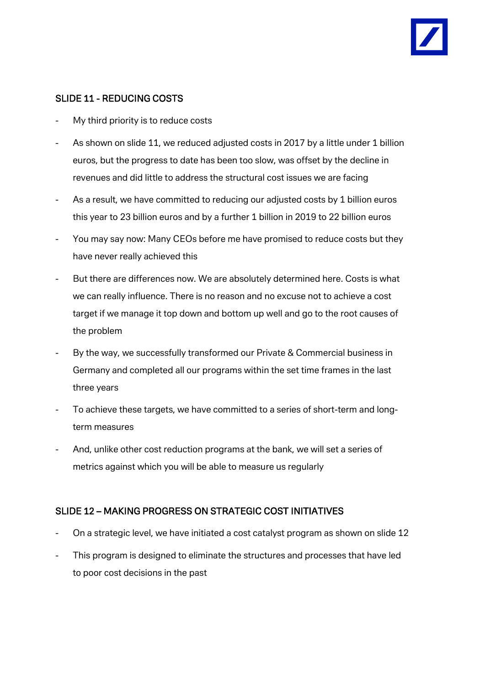

### SLIDE 11 - REDUCING COSTS

- My third priority is to reduce costs
- As shown on slide 11, we reduced adjusted costs in 2017 by a little under 1 billion euros, but the progress to date has been too slow, was offset by the decline in revenues and did little to address the structural cost issues we are facing
- As a result, we have committed to reducing our adjusted costs by 1 billion euros this year to 23 billion euros and by a further 1 billion in 2019 to 22 billion euros
- You may say now: Many CEOs before me have promised to reduce costs but they have never really achieved this
- But there are differences now. We are absolutely determined here. Costs is what we can really influence. There is no reason and no excuse not to achieve a cost target if we manage it top down and bottom up well and go to the root causes of the problem
- By the way, we successfully transformed our Private & Commercial business in Germany and completed all our programs within the set time frames in the last three years
- To achieve these targets, we have committed to a series of short-term and longterm measures
- And, unlike other cost reduction programs at the bank, we will set a series of metrics against which you will be able to measure us regularly

### SLIDE 12 – MAKING PROGRESS ON STRATEGIC COST INITIATIVES

- On a strategic level, we have initiated a cost catalyst program as shown on slide 12
- This program is designed to eliminate the structures and processes that have led to poor cost decisions in the past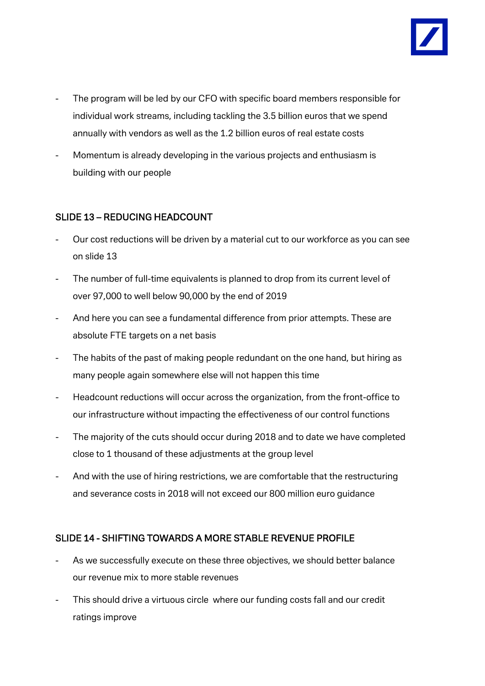

- The program will be led by our CFO with specific board members responsible for individual work streams, including tackling the 3.5 billion euros that we spend annually with vendors as well as the 1.2 billion euros of real estate costs
- Momentum is already developing in the various projects and enthusiasm is building with our people

### SLIDE 13 – REDUCING HEADCOUNT

- Our cost reductions will be driven by a material cut to our workforce as you can see on slide 13
- The number of full-time equivalents is planned to drop from its current level of over 97,000 to well below 90,000 by the end of 2019
- And here you can see a fundamental difference from prior attempts. These are absolute FTE targets on a net basis
- The habits of the past of making people redundant on the one hand, but hiring as many people again somewhere else will not happen this time
- Headcount reductions will occur across the organization, from the front-office to our infrastructure without impacting the effectiveness of our control functions
- The majority of the cuts should occur during 2018 and to date we have completed close to 1 thousand of these adjustments at the group level
- And with the use of hiring restrictions, we are comfortable that the restructuring and severance costs in 2018 will not exceed our 800 million euro guidance

# SLIDE 14 - SHIFTING TOWARDS A MORE STABLE REVENUE PROFILE

- As we successfully execute on these three objectives, we should better balance our revenue mix to more stable revenues
- This should drive a virtuous circle where our funding costs fall and our credit ratings improve